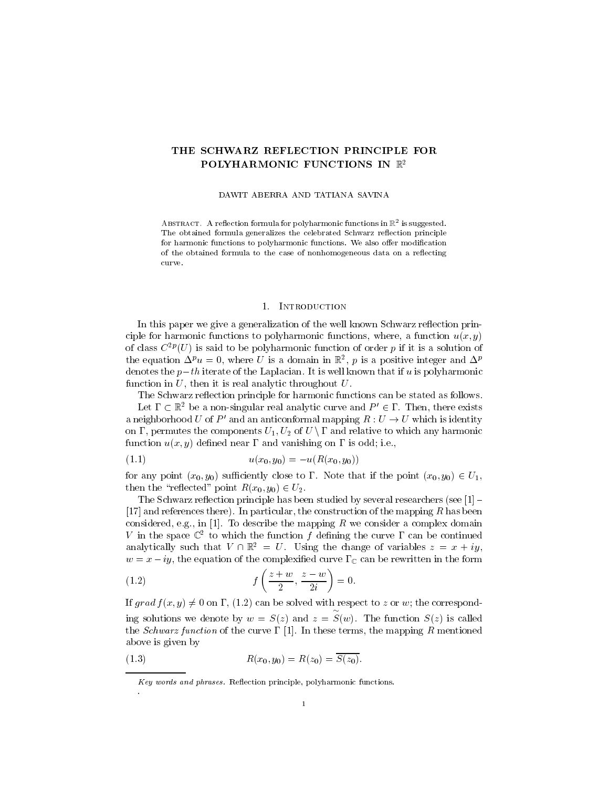# THE SCHWARZ REFLECTION PRINCIPLE FOR POLYHARMONIC FUNCTIONS IN  $\mathbb{R}^2$

#### DAWIT ABERRA AND TATIANA SAVINA

ABSTRACT. A reflection formula for polynarmonic functions in  $\mathbb{K}^-$  is suggested. The obtained formula generalizes the celebrated Schwarz reflection principle for harmonic functions to polyharmonic functions. We also offer modification of the obtained formula to the case of nonhomogeneous data on a reflecting curve.

### 1. Introduction

In this paper we give a generalization of the well known Schwarz reflection principle for harmonic functions to polyharmonic functions, where, a function  $u(x, y)$ of class  $C^{p}(U)$  is said to be polyharmonic function of order  $p$  if it is a solution of the equation  $\Delta^r u = 0$ , where U is a domain in R<sub>2</sub>, p is a positive integer and  $\Delta^r$ denotes the  $p-th$  iterate of the Laplacian. It is well known that if u is polyharmonic function in  $U$ , then it is real analytic throughout  $U$ .

The Schwarz reflection principle for harmonic functions can be stated as follows. Let  $\Gamma \subset \mathbb{R}^2$  be a non-singular real analytic curve and  $P' \in \Gamma$ . Then, there exists a neighborhood U of P' and an anticonformal mapping  $R : U \to U$  which is identity on  $\Gamma$ , permutes the components  $U_1, U_2$  of  $U \setminus \Gamma$  and relative to which any harmonic function  $u(x, y)$  defined near  $\Gamma$  and vanishing on  $\Gamma$  is odd; i.e.,

$$
(1.1) \t\t u(x_0, y_0) = -u(R(x_0, y_0))
$$

for any point  $(x_0, y_0)$  sufficiently close to  $\Gamma$ . Note that if the point  $(x_0, y_0) \in U_1$ , then the "reflected" point  $R(x_0, y_0) \in U_2$ .

The Schwarz reflection principle has been studied by several researchers (see  $[1]$  -[17] and references there). In particular, the construction of the mapping R has been considered, e.g., in [1]. To describe the mapping  $R$  we consider a complex domain  $V$  in the space  $\mathbb{C}^+$  to which the function  $f$  defining the curve I can be continued analytically such that  $V \cap \mathbb{R}^2 = U$ . Using the change of variables  $z = x + iy$ ,  $w = x - iy$ , the equation of the complexified curve  $\Gamma_{\mathbb{C}}$  can be rewritten in the form

(1.2) 
$$
f\left(\frac{z+w}{2},\frac{z-w}{2i}\right)=0.
$$

If grad  $f(x, y) \neq 0$  on  $\Gamma$ , (1.2) can be solved with respect to z or w; the corresponding solutions we denote by we are  $\omega$  , when  $\omega$  and  $\omega$  , we have  $\omega$  $S(\mathcal{S})$  is a function set of function  $S(\mathcal{S})$  is called the function  $S(\mathcal{S})$ the *Schwarz function* of the curve  $\Gamma$  [1]. In these terms, the mapping R mentioned above is given by

(1.3) 
$$
R(x_0, y_0) = R(z_0) = S(z_0).
$$

Key words and phrases. Reflection principle, polyharmonic functions.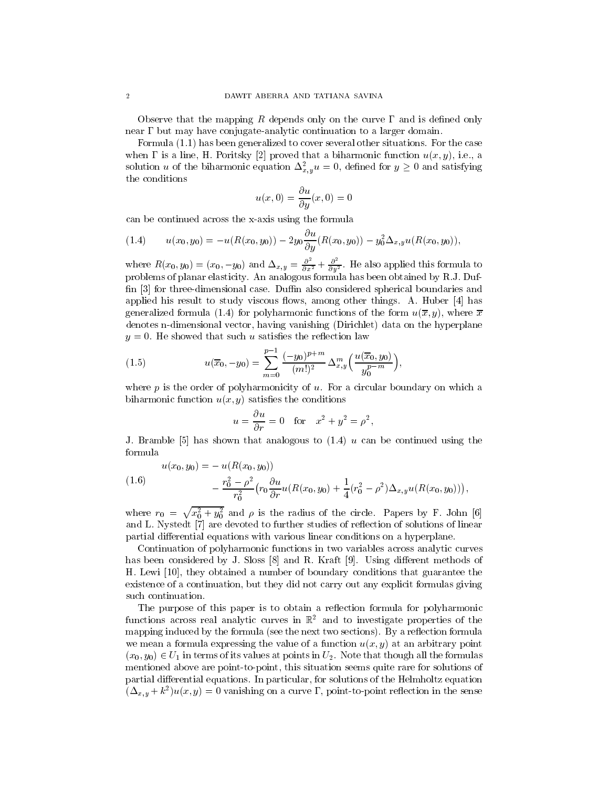Observe that the mapping R depends only on the curve  $\Gamma$  and is defined only near  $\Gamma$  but may have conjugate-analytic continuation to a larger domain.

Formula (1.1) has been generalized to cover several other situations. For the case when  $\Gamma$  is a line, H. Poritsky [2] proved that a biharmonic function  $u(x, y)$ , i.e., a solution u of the biharmonic equation  $\Delta_{x,y}^2 u = 0$ , defined for  $y \geq 0$  and satisfying the conditions

$$
u(x,0) = \frac{\partial u}{\partial y}(x,0) = 0
$$

can be continued across the x-axis using the formula

$$
(1.4) \t u(x_0, y_0) = -u(R(x_0, y_0)) - 2y_0 \frac{\partial u}{\partial y}(R(x_0, y_0)) - y_0^2 \Delta_{x,y} u(R(x_0, y_0)),
$$

where  $R(x_0, y_0)=(x_0, -y_0)$  and  $\Delta_{x,y}=\frac{\partial^2}{\partial x^2}+\frac{\partial^2}{\partial y^2}$ . He also applied this formula to problems of planar elasticity. An analogous formula has been obtained by R.J. Duf fin [3] for three-dimensional case. Duffin also considered spherical boundaries and applied his result to study viscous flows, among other things. A. Huber  $[4]$  has generalized formula (1.4) for polyharmonic functions of the form  $u(\overline{x}, y)$ , where  $\overline{x}$ denotes n-dimensional vector, having vanishing (Dirichlet) data on the hyperplane  $y = 0$ . He showed that such u satisfies the reflection law

(1.5) 
$$
u(\overline{x}_0, -y_0) = \sum_{m=0}^{p-1} \frac{(-y_0)^{p+m}}{(m!)^2} \Delta_{x,y}^m \left( \frac{u(\overline{x}_0, y_0)}{y_0^{p-m}} \right),
$$

where  $p$  is the order of polyharmonicity of  $u$ . For a circular boundary on which a biharmonic function  $u(x, y)$  satisfies the conditions

$$
u = \frac{\partial u}{\partial r} = 0 \quad \text{for} \quad x^2 + y^2 = \rho^2,
$$

J. Bramble  $[5]$  has shown that analogous to  $(1.4)$  u can be continued using the formula

$$
u(x_0, y_0) = - u(R(x_0, y_0))
$$

(1.6) 
$$
- \frac{r_0^2 - \rho^2}{r_0^2} \left( r_0 \frac{\partial u}{\partial r} u(R(x_0, y_0) + \frac{1}{4} (r_0^2 - \rho^2) \Delta_{x,y} u(R(x_0, y_0)) \right),
$$

where  $r_0 = \sqrt{x_0^2 + y_0^2}$  and  $\rho$  is the radius of the circle. Papers by F. John [6] and L. Nystedt [7] are devoted to further studies of reflection of solutions of linear partial differential equations with various linear conditions on a hyperplane.

Continuation of polyharmonic functions in two variables across analytic curves has been considered by J. Sloss  $[8]$  and R. Kraft  $[9]$ . Using different methods of H. Lewi [10], they obtained a number of boundary conditions that guarantee the existence of a continuation, but they did not carry out any explicit formulas giving such continuation.

The purpose of this paper is to obtain a reflection formula for polyharmonic functions across real analytic curves in  $\mathbb{R}^2$  and to investigate properties of the mapping induced by the formula (see the next two sections). By a reflection formula we mean a formula expressing the value of a function  $u(x, y)$  at an arbitrary point  $(x_0, y_0) \in U_1$  in terms of its values at points in  $U_2$ . Note that though all the formulas mentioned above are point-to-point, this situation seems quite rare for solutions of partial differential equations. In particular, for solutions of the Helmholtz equation  $(\Delta_{x,y} + \kappa_-)u(x,y) = 0$  vanishing on a curve 1, point-to-point reflection in the sense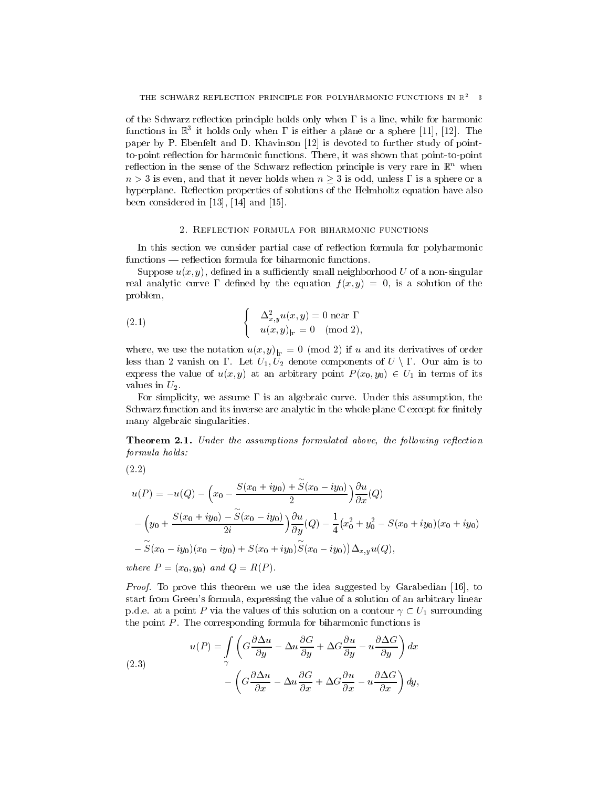of the Schwarz reflection principle holds only when  $\Gamma$  is a line, while for harmonic functions in  $\mathbb{R}^3$  it holds only when I is either a plane or a sphere [11], [12]. The paper by P. Ebenfelt and D. Khavinson [12] is devoted to further study of pointto-point reflection for harmonic functions. There, it was shown that point-to-point reflection in the sense of the Schwarz reflection principle is very rare in  $\mathbb{R}^n$  when  $n > 3$  is even, and that it never holds when  $n \geq 3$  is odd, unless  $\Gamma$  is a sphere or a hyperplane. Reflection properties of solutions of the Helmholtz equation have also been considered in [13], [14] and [15].

## 2. Reflection formula for biharmonic functions

In this section we consider partial case of reflection formula for polyharmonic functions — reflection formula for biharmonic functions.

Suppose  $u(x, y)$ , defined in a sufficiently small neighborhood U of a non-singular real analytic curve  $\Gamma$  defined by the equation  $f(x, y) = 0$ , is a solution of the problem,

(2.1) 
$$
\begin{cases} \Delta_{x,y}^2 u(x,y) = 0 \text{ near } \Gamma \\ u(x,y)_{|_{\Gamma}} = 0 \pmod{2}, \end{cases}
$$

less than 2 vanish on  $\Gamma$ . Let  $U_1, U_2$  denote components of  $U \setminus \Gamma$ . Our aim is to express the value of  $u(x, y)$  at an arbitrary point  $P(x_0, y_0) \in U_1$  in terms of its values in  $U_2$ .

For simplicity, we assume  $\Gamma$  is an algebraic curve. Under this assumption, the Schwarz function and its inverse are analytic in the whole plane  $\mathbb C$  except for finitely many algebraic singularities.

**Theorem 2.1.** Under the assumptions formulated above, the following reflection formula holds:

$$
(2.2)
$$

$$
u(P) = -u(Q) - \left(x_0 - \frac{S(x_0 + iy_0) + S(x_0 - iy_0)}{2}\right) \frac{\partial u}{\partial x}(Q)
$$
  
 
$$
- \left(y_0 + \frac{S(x_0 + iy_0) - \widetilde{S}(x_0 - iy_0)}{2i}\right) \frac{\partial u}{\partial y}(Q) - \frac{1}{4}(x_0^2 + y_0^2 - S(x_0 + iy_0)(x_0 + iy_0)
$$
  
 
$$
- \widetilde{S}(x_0 - iy_0)(x_0 - iy_0) + S(x_0 + iy_0) \widetilde{S}(x_0 - iy_0)) \Delta_{x,y} u(Q),
$$

where P = (x0; y0) and Q = R(P ):

Proof. To prove this theorem we use the idea suggested by Garabedian [16], to start from Green's formula, expressing the value of a solution of an arbitrary linear p.d.e. at a point P via the values of this solution on a contour  $\gamma \subset U_1$  surrounding the point  $P$ . The corresponding formula for biharmonic functions is

(2.3)  

$$
u(P) = \int_{\gamma} \left( G \frac{\partial \Delta u}{\partial y} - \Delta u \frac{\partial G}{\partial y} + \Delta G \frac{\partial u}{\partial y} - u \frac{\partial \Delta G}{\partial y} \right) dx
$$

$$
- \left( G \frac{\partial \Delta u}{\partial x} - \Delta u \frac{\partial G}{\partial x} + \Delta G \frac{\partial u}{\partial x} - u \frac{\partial \Delta G}{\partial x} \right) dy,
$$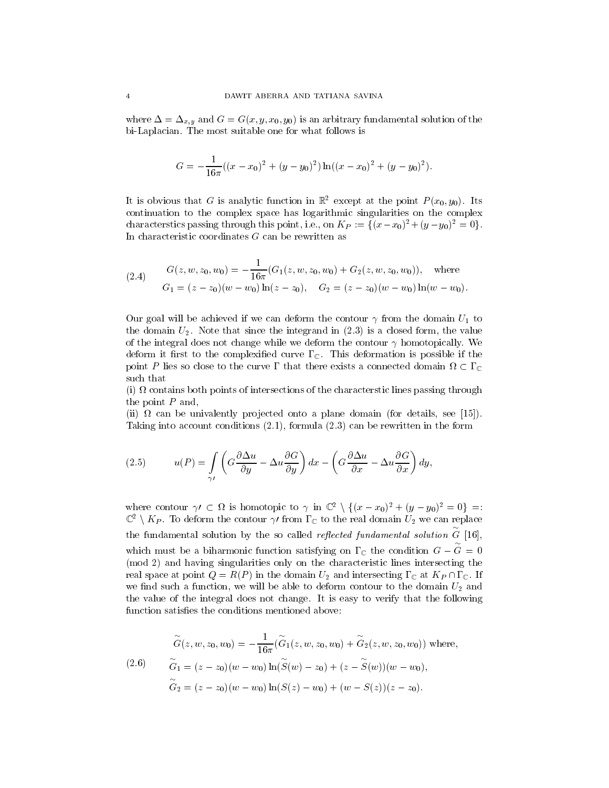where  $\Delta = \Delta_{x,y}$  and  $G = G(x, y, x_0, y_0)$  is an arbitrary fundamental solution of the bi-Laplacian. The most suitable one for what follows is

$$
G = -\frac{1}{16\pi}((x - x_0)^2 + (y - y_0)^2)\ln((x - x_0)^2 + (y - y_0)^2).
$$

It is obvious that G is analytic function in  $\mathbb{R}^2$  except at the point  $P(x_0, y_0)$ . Its continuation to the complex space has logarithmic singularities on the complex characterstics passing through this point, i.e., on  $K_P := \{(x-x_0)^2 + (y-y_0)^2 = 0\}.$ In characteristic coordinates  $G$  can be rewritten as

(2.4) 
$$
G(z, w, z_0, w_0) = -\frac{1}{16\pi} (G_1(z, w, z_0, w_0) + G_2(z, w, z_0, w_0)), \text{ where}
$$

$$
G_1 = (z - z_0)(w - w_0) \ln(z - z_0), \quad G_2 = (z - z_0)(w - w_0) \ln(w - w_0).
$$

Our goal will be achieved if we can deform the contour  $\gamma$  from the domain  $U_1$  to the domain  $U_2$ . Note that since the integrand in  $(2.3)$  is a closed form, the value of the integral does not change while we deform the contour  $\gamma$  homotopically. We deform it first to the complexified curve  $\Gamma_{\mathbb{C}}$ . This deformation is possible if the point P lies so close to the curve I that there exists a connected domain  $\Omega \subset \Gamma_\mathbb{C}$ such that

 $\{e_i\}$  is contains both points of the characters of the characterstic lines  $\{e_i\}$  and  $\{e_i\}$ the point  $P$  and,

(ii) can be univalently pro jected onto a plane domain (for details, see [15]). Taking into account conditions (2.1), formula (2.3) can be rewritten in the form

(2.5) 
$$
u(P) = \int_{\gamma'} \left( G \frac{\partial \Delta u}{\partial y} - \Delta u \frac{\partial G}{\partial y} \right) dx - \left( G \frac{\partial \Delta u}{\partial x} - \Delta u \frac{\partial G}{\partial x} \right) dy,
$$

where contour  $\gamma' \subset \Omega$  is homotopic to  $\gamma$  in  $\mathbb{C}^2 \setminus \{(x - x_0)^2 + (y - y_0)^2 = 0\} =$ :  $\mathbb{C}^2\setminus K_P.$  To deform the contour  $\gamma$  from  $\Gamma_\mathbb{C}$  to the real domain  $U_2$  we can replace the fundamental solution by the so called *reflected fundamental solution*  $\stackrel{\sim}{G}$  [16], which must be a biharmonic function satisfying on  $\Gamma_{\mathbb{C}}$  the condition  $G - G = 0$ (mod 2) and having singularities only on the characteristic lines intersecting the real space at point  $Q = R(P)$  in the domain  $U_2$  and intersecting  $\Gamma_{\mathbb{C}}$  at  $K_P \cap \Gamma_{\mathbb{C}}$ . If we find such a function, we will be able to deform contour to the domain  $U_2$  and the value of the integral does not change. It is easy to verify that the following function satisfies the conditions mentioned above:

$$
\widetilde{G}(z, w, z_0, w_0) = -\frac{1}{16\pi} (\widetilde{G}_1(z, w, z_0, w_0) + \widetilde{G}_2(z, w, z_0, w_0)) \text{ where,}
$$
\n
$$
(2.6) \qquad \widetilde{G}_1 = (z - z_0)(w - w_0) \ln(\widetilde{S}(w) - z_0) + (z - \widetilde{S}(w))(w - w_0),
$$
\n
$$
\widetilde{G}_2 = (z - z_0)(w - w_0) \ln(S(z) - w_0) + (w - S(z))(z - z_0).
$$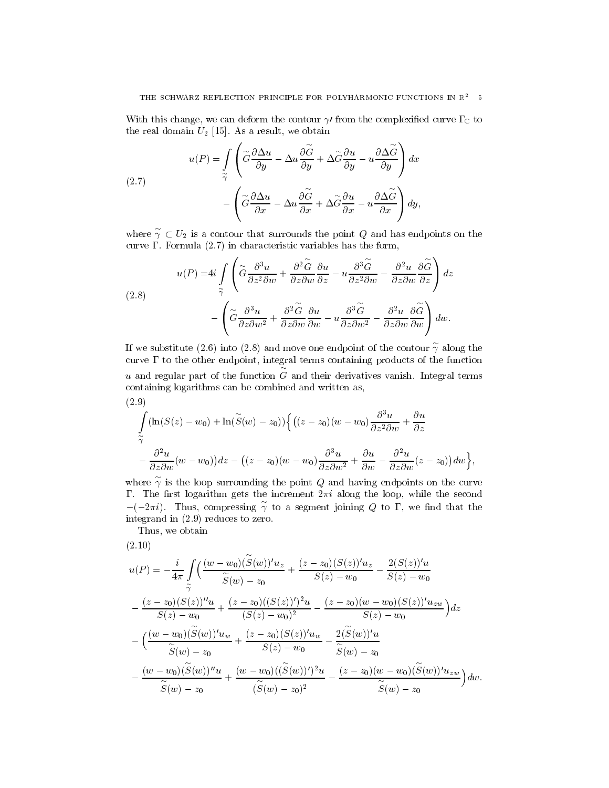With this change, we can deform the contour  $\gamma$  from the complexified curve  $\Gamma_{\mathbb C}$  to the real domain  $U_2$  [15]. As a result, we obtain

(2.7)  

$$
u(P) = \int_{\widetilde{\gamma}} \left( \widetilde{G} \frac{\partial \Delta u}{\partial y} - \Delta u \frac{\partial \widetilde{G}}{\partial y} + \Delta \widetilde{G} \frac{\partial u}{\partial y} - u \frac{\partial \Delta \widetilde{G}}{\partial y} \right) dx - \left( \widetilde{G} \frac{\partial \Delta u}{\partial x} - \Delta u \frac{\partial \widetilde{G}}{\partial x} + \Delta \widetilde{G} \frac{\partial u}{\partial x} - u \frac{\partial \Delta \widetilde{G}}{\partial x} \right) dy,
$$

where  $\gamma \subset U_2$  is a contour that surrounds the point Q and has endpoints on the curve . Formula (2.7) in characteristic variables has the form,

(2.8)  

$$
u(P) = 4i \int_{\widetilde{\gamma}} \left( \widetilde{G} \frac{\partial^3 u}{\partial z^2 \partial w} + \frac{\partial^2 \widetilde{G}}{\partial z \partial w} \frac{\partial u}{\partial z} - u \frac{\partial^3 \widetilde{G}}{\partial z^2 \partial w} - \frac{\partial^2 u}{\partial z \partial w} \frac{\partial \widetilde{G}}{\partial z} \right) dz
$$

$$
- \left( \widetilde{G} \frac{\partial^3 u}{\partial z \partial w^2} + \frac{\partial^2 \widetilde{G}}{\partial z \partial w} \frac{\partial u}{\partial w} - u \frac{\partial^3 \widetilde{G}}{\partial z \partial w^2} - \frac{\partial^2 u}{\partial z \partial w} \frac{\partial \widetilde{G}}{\partial w} \right) dw.
$$

If we substitute (2.6) into (2.8) and move one endpoint of the contour  $\gamma$  along the curve  $\Gamma$  to the other endpoint, integral terms containing products of the function  $u$  and regular part of the function  $G$  and their derivatives vanish. Integral terms containing logarithms can be combined and written as,  $(2.9)$ 

$$
\int_{\tilde{\gamma}} (\ln(S(z) - w_0) + \ln(\tilde{S}(w) - z_0)) \left\{ \left( (z - z_0)(w - w_0) \frac{\partial^3 u}{\partial z^2 \partial w} + \frac{\partial u}{\partial z} \right. \right.\left. - \frac{\partial^2 u}{\partial z \partial w} (w - w_0) \right) dz - \left( (z - z_0)(w - w_0) \frac{\partial^3 u}{\partial z \partial w^2} + \frac{\partial u}{\partial w} - \frac{\partial^2 u}{\partial z \partial w} (z - z_0) \right) dw \right\},
$$

where  $\gamma$  is the loop surrounding the point Q and having endpoints on the curve  $-(-2\pi i)$ . Thus, compressing  $\gamma$  to a segment joining Q to  $\Gamma$ , we find that the integrand in (2.9) reduces to zero.

Thus, we obtain

(2.10)

$$
u(P) = -\frac{i}{4\pi} \int_{\tilde{\gamma}} \left( \frac{(w - w_0)(\tilde{S}(w))' u_z}{\tilde{S}(w) - z_0} + \frac{(z - z_0)(S(z))' u_z}{S(z) - w_0} - \frac{2(S(z))' u}{S(z) - w_0} \right)
$$

$$
-\frac{(z - z_0)(S(z))'' u}{S(z) - w_0} + \frac{(z - z_0)((S(z))')^2 u}{(S(z) - w_0)^2} - \frac{(z - z_0)(w - w_0)(S(z))' u_{zw}}{S(z) - w_0} \right) dz
$$

$$
-\left( \frac{(w - w_0)(\tilde{S}(w))' u_w}{\tilde{S}(w) - z_0} + \frac{(z - z_0)(S(z))' u_w}{S(z) - w_0} - \frac{2(\tilde{S}(w))' u}{\tilde{S}(w) - z_0} - \frac{(w - w_0)(\tilde{S}(w))'' u}{\tilde{S}(w) - z_0} + \frac{(w - w_0)((\tilde{S}(w))')^2 u}{(\tilde{S}(w) - z_0)^2} - \frac{(z - z_0)(w - w_0)(\tilde{S}(w))' u_{zw}}{\tilde{S}(w) - z_0} \right) dw.
$$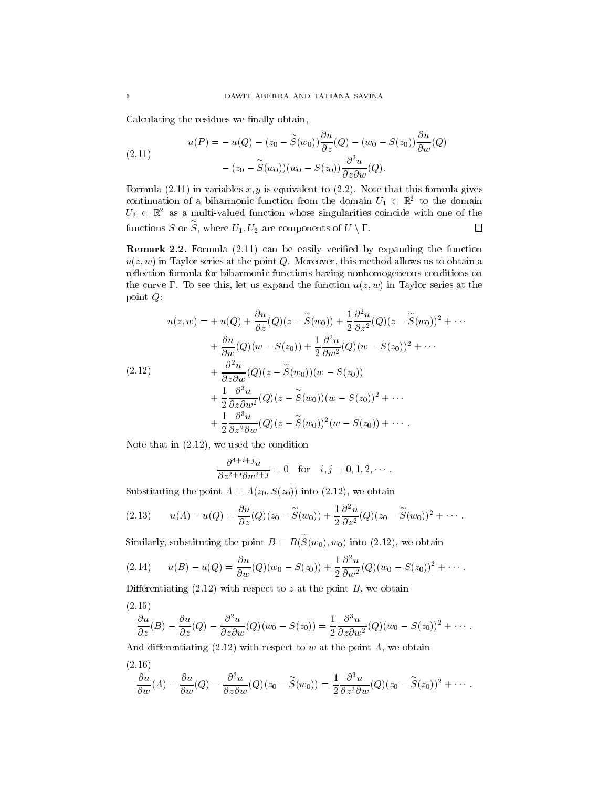Calculating the residues we finally obtain,

(2.11) 
$$
u(P) = -u(Q) - (z_0 - \widetilde{S}(w_0)) \frac{\partial u}{\partial z}(Q) - (w_0 - S(z_0)) \frac{\partial u}{\partial w}(Q)
$$

$$
- (z_0 - \widetilde{S}(w_0))(w_0 - S(z_0)) \frac{\partial^2 u}{\partial z \partial w}(Q).
$$

continuation of a biharmonic function from the domain  $U_1 \subset \mathbb{R}^2$  to the domain  $U_2 \subset \mathbb{R}^2$  as a multi-valued function whose singularities coincide with one of the functions S or S, where  $U_1, U_2$  are components of  $U \setminus \Gamma$ .

Remark 2.2. Formula (2.11) can be easily veried by expanding the function  $u(z, w)$  in Taylor series at the point Q. Moreover, this method allows us to obtain a reflection formula for biharmonic functions having nonhomogeneous conditions on the curve  $\Gamma$ . To see this, let us expand the function  $u(z, w)$  in Taylor series at the point Q:

$$
u(z, w) = + u(Q) + \frac{\partial u}{\partial z}(Q)(z - \widetilde{S}(w_0)) + \frac{1}{2}\frac{\partial^2 u}{\partial z^2}(Q)(z - \widetilde{S}(w_0))^2 + \cdots
$$
  
+ 
$$
\frac{\partial u}{\partial w}(Q)(w - S(z_0)) + \frac{1}{2}\frac{\partial^2 u}{\partial w^2}(Q)(w - S(z_0))^2 + \cdots
$$
  
(2.12) 
$$
+ \frac{\partial^2 u}{\partial z \partial w}(Q)(z - \widetilde{S}(w_0))(w - S(z_0))
$$

$$
+ \frac{1}{2}\frac{\partial^3 u}{\partial z \partial w^2}(Q)(z - \widetilde{S}(w_0))(w - S(z_0))^2 + \cdots
$$

$$
+ \frac{1}{2}\frac{\partial^3 u}{\partial z^2 \partial w}(Q)(z - \widetilde{S}(w_0))^2(w - S(z_0)) + \cdots
$$

Note that in (2.12), we used the condition

$$
\frac{\partial^{4+i+j}u}{\partial z^{2+i}\partial w^{2+j}} = 0 \quad \text{for} \quad i, j = 0, 1, 2, \cdots.
$$

Substituting the point  $A = A(z_0, S(z_0))$  into (2.12), we obtain

$$
(2.13) \qquad u(A) - u(Q) = \frac{\partial u}{\partial z}(Q)(z_0 - \widetilde{S}(w_0)) + \frac{1}{2}\frac{\partial^2 u}{\partial z^2}(Q)(z_0 - \widetilde{S}(w_0))^2 + \cdots.
$$

Similarly, substituting the point  $B = B(S(w_0), w_0)$  into (2.12), we obtain

$$
(2.14) \t u(B) - u(Q) = \frac{\partial u}{\partial w}(Q)(w_0 - S(z_0)) + \frac{1}{2}\frac{\partial^2 u}{\partial w^2}(Q)(w_0 - S(z_0))^2 + \cdots.
$$

Differentiating  $(2.12)$  with respect to z at the point B, we obtain

$$
\frac{\partial u}{\partial z}(B)-\frac{\partial u}{\partial z}(Q)-\frac{\partial^2 u}{\partial z \partial w}(Q)(w_0-S(z_0))=\frac{1}{2}\frac{\partial^3 u}{\partial z \partial w^2}(Q)(w_0-S(z_0))^2+\cdots.
$$

And differentiating  $(2.12)$  with respect to w at the point A, we obtain

$$
(2.16)
$$

$$
\frac{\partial u}{\partial w}(A) - \frac{\partial u}{\partial w}(Q) - \frac{\partial^2 u}{\partial z \partial w}(Q)(z_0 - \widetilde{S}(w_0)) = \frac{1}{2} \frac{\partial^3 u}{\partial z^2 \partial w}(Q)(z_0 - \widetilde{S}(z_0))^2 + \cdots
$$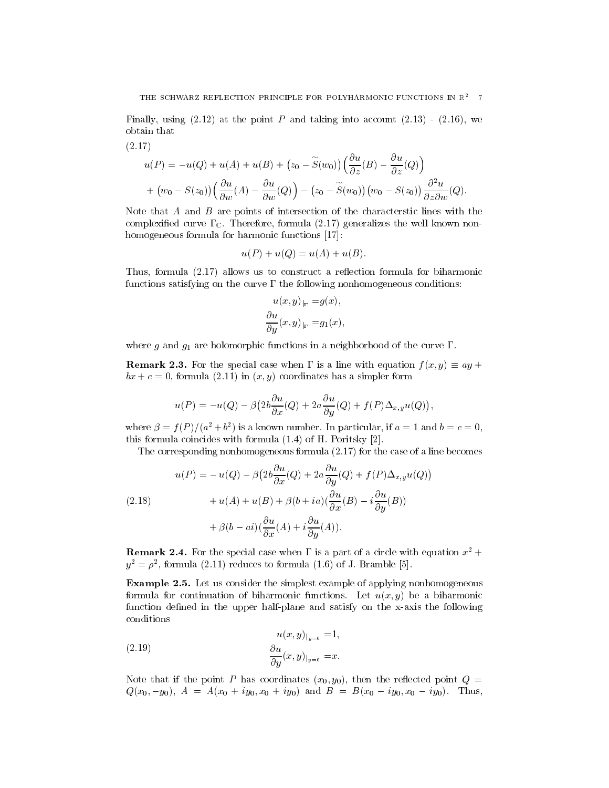Finally, using  $(2.12)$  at the point P and taking into account  $(2.13)$  -  $(2.16)$ , we obtain that

(2.17)  
\n
$$
u(P) = -u(Q) + u(A) + u(B) + (z_0 - \tilde{S}(w_0)) \left( \frac{\partial u}{\partial z}(B) - \frac{\partial u}{\partial z}(Q) \right)
$$
\n
$$
+ (w_0 - S(z_0)) \left( \frac{\partial u}{\partial w}(A) - \frac{\partial u}{\partial w}(Q) \right) - (z_0 - \tilde{S}(w_0)) (w_0 - S(z_0)) \frac{\partial^2 u}{\partial z \partial w}(Q).
$$

Note that A and B are points of intersection of the characterstic lines with the complexified curve  $\Gamma_{\mathbb{C}}$ . Therefore, formula (2.17) generalizes the well known nonhomogeneous formula for harmonic functions [17]:

$$
u(P) + u(Q) = u(A) + u(B).
$$

Thus, formula  $(2.17)$  allows us to construct a reflection formula for biharmonic functions satisfying on the curve  $\Gamma$  the following nonhomogeneous conditions:

$$
u(x, y)_{|\Gamma} = g(x),
$$
  
\n
$$
\frac{\partial u}{\partial y}(x, y)_{|\Gamma} = g_1(x),
$$

where g and  $g_1$  are holomorphic functions in a neighborhood of the curve  $\Gamma$ .

**Remark 2.3.** For the special case when  $\Gamma$  is a line with equation  $f(x, y) \equiv ay +$  $bx + c = 0$ , formula (2.11) in  $(x, y)$  coordinates has a simpler form

$$
u(P) = -u(Q) - \beta \left(2b \frac{\partial u}{\partial x}(Q) + 2a \frac{\partial u}{\partial y}(Q) + f(P)\Delta_{x,y}u(Q)\right),
$$

where  $p = f(P)/a + b$  is a known number. In particular, if  $a = 1$  and  $b = c = 0$ , this formula coincides with formula (1.4) of H. Poritsky [2].

The corresponding nonhomogeneous formula (2.17) for the case of a line becomes

(2.18)  

$$
u(P) = -u(Q) - \beta \left(2b \frac{\partial u}{\partial x}(Q) + 2a \frac{\partial u}{\partial y}(Q) + f(P)\Delta_{x,y}u(Q)\right) + u(A) + u(B) + \beta(b + ia)\left(\frac{\partial u}{\partial x}(B) - i \frac{\partial u}{\partial y}(B)\right) + \beta(b - ai)\left(\frac{\partial u}{\partial x}(A) + i \frac{\partial u}{\partial y}(A)\right).
$$

**Remark 2.4.** For the special case when  $\Gamma$  is a part of a circle with equation  $x^2 +$  $y_{\parallel} = p_{\parallel}$ , formula (2.11) reduces to formula (1.0) of J. Bramble [5].

Example 2.5. Let us consider the simplest example of applying nonhomogeneous formula for continuation of biharmonic functions. Let  $u(x, y)$  be a biharmonic function defined in the upper half-plane and satisfy on the x-axis the following conditions

(2.19) 
$$
u(x, y)_{|y=0} = 1,
$$

$$
\frac{\partial u}{\partial y}(x, y)_{|y=0} = x.
$$

Note that if the point P has coordinates  $(x_0, y_0)$ , then the reflected point  $Q =$  $Q(x_0, -y_0), A = A(x_0 + iy_0, x_0 + iy_0)$  and  $B = B(x_0 - iy_0, x_0 - iy_0)$ . Thus,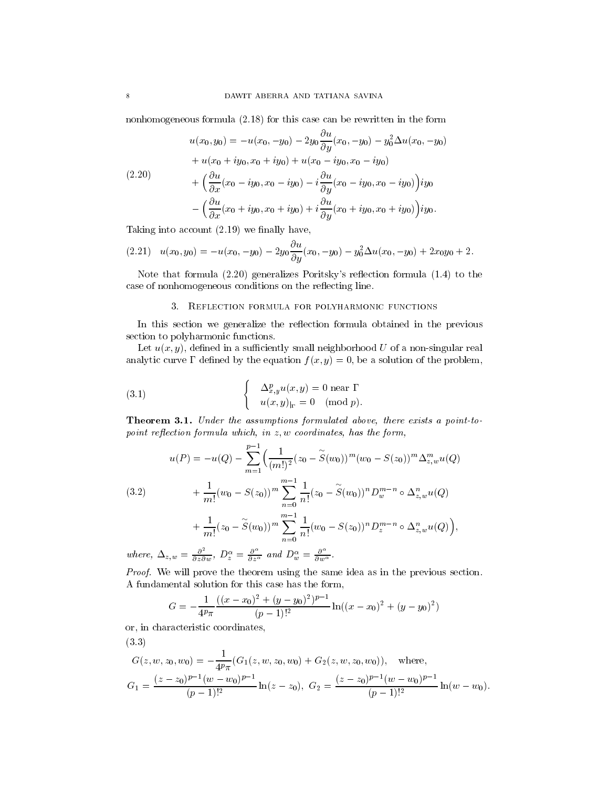nonhomogeneous formula (2.18) for this case can be rewritten in the form

$$
u(x_0, y_0) = -u(x_0, -y_0) - 2y_0 \frac{\partial u}{\partial y}(x_0, -y_0) - y_0^2 \Delta u(x_0, -y_0)
$$
  
+ 
$$
u(x_0 + iy_0, x_0 + iy_0) + u(x_0 - iy_0, x_0 - iy_0)
$$
  
+ 
$$
\left(\frac{\partial u}{\partial x}(x_0 - iy_0, x_0 - iy_0) - i\frac{\partial u}{\partial y}(x_0 - iy_0, x_0 - iy_0)\right) iy_0
$$
  
- 
$$
\left(\frac{\partial u}{\partial x}(x_0 + iy_0, x_0 + iy_0) + i\frac{\partial u}{\partial y}(x_0 + iy_0, x_0 + iy_0)\right) iy_0.
$$

Taking into account  $(2.19)$  we finally have,

$$
(2.21) \quad u(x_0, y_0) = -u(x_0, -y_0) - 2y_0 \frac{\partial u}{\partial y}(x_0, -y_0) - y_0^2 \Delta u(x_0, -y_0) + 2x_0 y_0 + 2.
$$

Note that formula  $(2.20)$  generalizes Poritsky's reflection formula  $(1.4)$  to the case of nonhomogeneous conditions on the reflecting line.

### 3. Reflection formula for polyharmonic functions

In this section we generalize the reflection formula obtained in the previous section to polyharmonic functions.

Let  $u(x, y)$ , defined in a sufficiently small neighborhood U of a non-singular real analytic curve  $\Gamma$  defined by the equation  $f(x, y) = 0$ , be a solution of the problem,

(3.1) 
$$
\begin{cases} \Delta_{x,y}^p u(x,y) = 0 \text{ near } \Gamma \\ u(x,y)_{|\Gamma} = 0 \pmod{p}. \end{cases}
$$

Theorem 3.1. Under the assumptions formulated above, there exists <sup>a</sup> point-to $p$ oint repection formula which, in  $z, w$  coordinates, has the form,

$$
u(P) = -u(Q) - \sum_{m=1}^{p-1} \left( \frac{1}{(m!)^2} (z_0 - \widetilde{S}(w_0))^m (w_0 - S(z_0))^m \Delta_{z,w}^m u(Q) \right)
$$

(3.2) 
$$
+\frac{1}{m!}(w_0 - S(z_0))^m \sum_{n=0}^{m-1} \frac{1}{n!}(z_0 - \widetilde{S}(w_0))^n D_w^{m-n} \circ \Delta_{z,w}^n u(Q) +\frac{1}{m!}(z_0 - \widetilde{S}(w_0))^m \sum_{n=0}^{m-1} \frac{1}{n!}(w_0 - S(z_0))^n D_z^{m-n} \circ \Delta_{z,w}^n u(Q)\Big),
$$

where,  $\Delta_{z,w} = \frac{\partial^2}{\partial z \partial w}$ ,  $D_z^{\alpha} = \frac{\partial^2}{\partial z^{\alpha}}$  and  $D_w^{\alpha} = \frac{\partial^2}{\partial w^{\alpha}}$ .

Proof. We will prove the theorem using the same idea as in the previous section. A fundamental solution for this case has the form,

$$
G = -\frac{1}{4^p \pi} \frac{((x - x_0)^2 + (y - y_0)^2)^{p-1}}{(p-1)!^2} \ln((x - x_0)^2 + (y - y_0)^2)
$$

or, in characteristic coordinates,

(3.3)

$$
G(z, w, z_0, w_0) = -\frac{1}{4^p \pi} (G_1(z, w, z_0, w_0) + G_2(z, w, z_0, w_0)), \text{ where,}
$$
  
\n
$$
G_1 = \frac{(z - z_0)^{p-1} (w - w_0)^{p-1}}{(p-1)!^2} \ln(z - z_0), \ G_2 = \frac{(z - z_0)^{p-1} (w - w_0)^{p-1}}{(p-1)!^2} \ln(w - w_0).
$$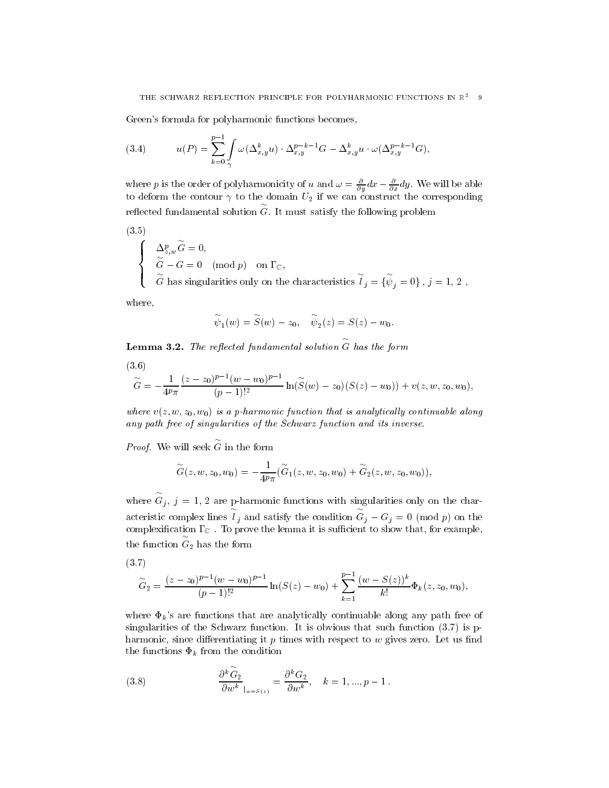Green's formula for polyharmonic functions becomes,

(3.4) 
$$
u(P) = \sum_{k=0}^{p-1} \int_{\gamma} \omega(\Delta_{x,y}^k u) \cdot \Delta_{x,y}^{p-k-1} G - \Delta_{x,y}^k u \cdot \omega(\Delta_{x,y}^{p-k-1} G),
$$

where p is the order of polynarmonicity of u and  $\omega = \frac{1}{\partial y} a x - \frac{1}{\partial x} a y$ . We will be able  $t$  to deform the contour  $t$  if we can construct the construction of  $\mathcal{L}_\mathcal{A}$  if we can construct the corresponding  $\mathcal{L}_\mathcal{A}$ reflected fundamental solution  $\tilde{G}$ . It must satisfy the following problem

(3.5)

$$
\label{eq:2.1} \left\{ \begin{array}{ll} \Delta_{z,w}^p \overset{\sim}{G} = 0, \\ \widetilde{G} - G = 0 \pmod{p} & \text{on $\Gamma_{\mathbb{C}}$}, \\ \widetilde{G} \text{ has singularities only on the characteristics } \widetilde{l}_j = \{ \overset{\sim}{\psi}_j = 0 \} \, , \, j=1, \, 2 \ , \end{array} \right.
$$

where,

$$
\widetilde{\psi}_1(w) = \widetilde{S}(w) - z_0, \quad \widetilde{\psi}_2(z) = S(z) - w_0.
$$

**Lemma 3.2.** The reflected fundamental solution  $\widetilde{G}$  has the form

$$
(3.6)
$$

$$
\widetilde{G} = -\frac{1}{4^p \pi} \frac{(z - z_0)^{p-1} (w - w_0)^{p-1}}{(p-1)!^2} \ln(\widetilde{S}(w) - z_0)(S(z) - w_0)) + v(z, w, z_0, w_0),
$$

where  $v(z, w, z_0, w_0)$  is a p-harmonic function that is analytically continuative along any path free of singularities of the Schwarz function and its inverse.

Proof. We will seek G in the form

$$
\overset{\sim}{G}(z,w,z_0,w_0)=-\frac{1}{4^p\pi}(\overset{\sim}{G}_1(z,w,z_0,w_0)+\overset{\sim}{G}_2(z,w,z_0,w_0)),
$$

where  $\widetilde{G}_j$ ,  $j = 1, 2$  are p-harmonic functions with singularities only on the characteristic complex lines  $l_i$  and satisfy the condition  $G_i - G_j = 0 \pmod{p}$  on the complexication C . To prove the lemma it is sucient to show that, for example, the function  $G_2$  has the form

$$
\widetilde{G}_2 = \frac{(z-z_0)^{p-1}(w-w_0)^{p-1}}{(p-1)!^2} \ln(S(z)-w_0) + \sum_{k=1}^{p-1} \frac{(w-S(z))^k}{k!} \Phi_k(z, z_0, w_0),
$$

where  $\Phi_k$ 's are functions that are analytically continuable along any path free of singularities of the Schwarz function. It is obvious that such function (3.7) is pharmonic, since differentiating it  $p$  times with respect to  $w$  gives zero. Let us find the functions  $\Phi_k$  from the condition

(3.8) 
$$
\frac{\partial^k \tilde{G}_2}{\partial w^k}\Big|_{w=S(z)} = \frac{\partial^k G_2}{\partial w^k}, \quad k = 1, ..., p-1.
$$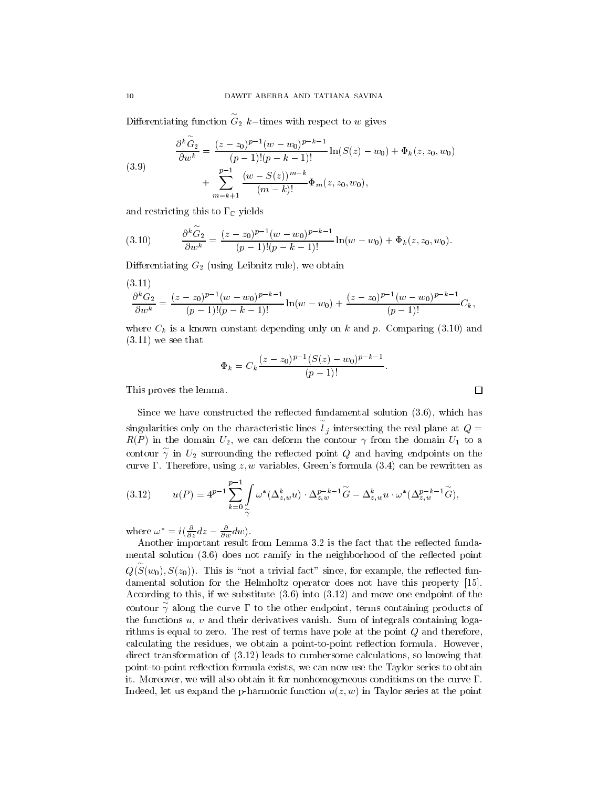Differentiating function  $\tilde{G}_2$  k-times with respect to w gives

(3.9)  
\n
$$
\frac{\partial^k \tilde{G}_2}{\partial w^k} = \frac{(z - z_0)^{p-1} (w - w_0)^{p-k-1}}{(p-1)!(p-k-1)!} \ln(S(z) - w_0) + \Phi_k(z, z_0, w_0) + \sum_{m=k+1}^{p-1} \frac{(w - S(z))^{m-k}}{(m-k)!} \Phi_m(z, z_0, w_0),
$$

and restricting this to  $\Gamma_{\mathbb{C}}$  yields

$$
(3.10) \qquad \frac{\partial^k G_2}{\partial w^k} = \frac{(z-z_0)^{p-1}(w-w_0)^{p-k-1}}{(p-1)!(p-k-1)!} \ln(w-w_0) + \Phi_k(z, z_0, w_0).
$$

Differentiating  $G_2$  (using Leibnitz rule), we obtain

$$
\frac{\partial^k G_2}{\partial w^k} = \frac{(z-z_0)^{p-1}(w-w_0)^{p-k-1}}{(p-1)!(p-k-1)!} \ln(w-w_0) + \frac{(z-z_0)^{p-1}(w-w_0)^{p-k-1}}{(p-1)!} C_k,
$$

where  $C_k$  is a known constant depending only on k and p. Comparing (3.10) and  $(3.11)$  we see that

$$
\Phi_k = C_k \frac{(z - z_0)^{p-1} (S(z) - w_0)^{p-k-1}}{(p-1)!}.
$$

This proves the lemma.

Since we have constructed the reflected fundamental solution  $(3.6)$ , which has singularities only on the characteristic lines  $l_i$  intersecting the real plane at  $Q =$  $R(P)$  in the domain  $U_2$ , we can deform the contour  $\gamma$  from the domain  $U_1$  to a contour  $\gamma$  in  $U_2$  surrounding the reflected point Q and having endpoints on the curve  $\Gamma$ . Therefore, using z, w variables, Green's formula (3.4) can be rewritten as

$$
(3.12) \t u(P) = 4^{p-1} \sum_{k=0}^{p-1} \int_{\widetilde{\gamma}} \omega^* (\Delta_{z,w}^k u) \cdot \Delta_{z,w}^{p-k-1} \widetilde{G} - \Delta_{z,w}^k u \cdot \omega^* (\Delta_{z,w}^{p-k-1} \widetilde{G}),
$$

where  $\omega = i(\frac{\partial z}{\partial x}az - \frac{\partial w}{\partial y}aw)$ .

Another important result from Lemma 3.2 is the fact that the reflected fundamental solution  $(3.6)$  does not ramify in the neighborhood of the reflected point  $Q(S(w_0), S(z_0))$ . This is "not a trivial fact" since, for example, the reflected fundamental solution for the Helmholtz operator does not have this property [15]. According to this, if we substitute (3.6) into (3.12) and move one endpoint of the contour  $\gamma$  along the curve  $\Gamma$  to the other endpoint, terms containing products of the functions  $u, v$  and their derivatives vanish. Sum of integrals containing logarithms is equal to zero. The rest of terms have pole at the point Q and therefore, calculating the residues, we obtain a point-to-point reflection formula. However, direct transformation of (3.12) leads to cumbersome calculations, so knowing that point-to-point reflection formula exists, we can now use the Taylor series to obtain it. Moreover, we will also obtain it for nonhomogeneous conditions on the curve  $\Gamma$ . Indeed, let us expand the p-harmonic function  $u(z, w)$  in Taylor series at the point

 $\Box$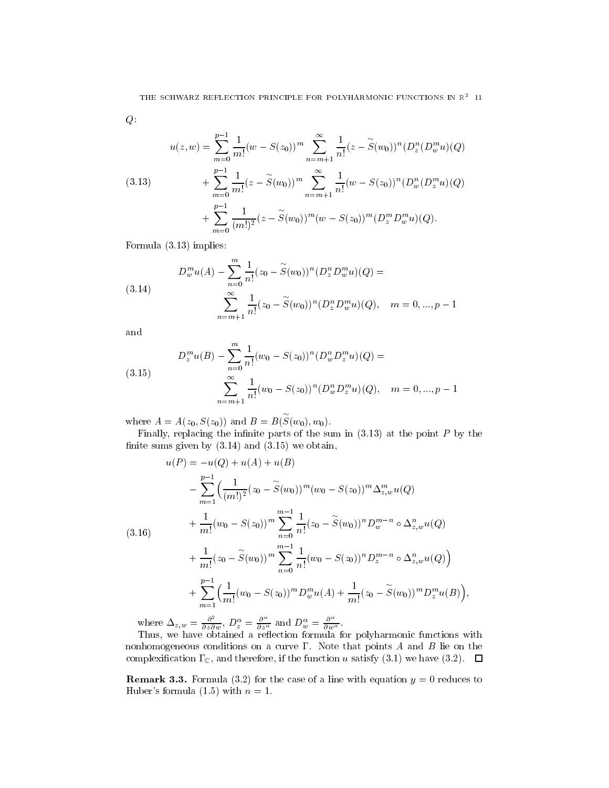$Q$ :

(3.13) 
$$
u(z, w) = \sum_{m=0}^{p-1} \frac{1}{m!} (w - S(z_0))^m \sum_{n=m+1}^{\infty} \frac{1}{n!} (z - \widetilde{S}(w_0))^n (D_z^n (D_w^m u)(Q) + \sum_{m=0}^{p-1} \frac{1}{m!} (z - \widetilde{S}(w_0))^m \sum_{n=m+1}^{\infty} \frac{1}{n!} (w - S(z_0))^n (D_w^n (D_z^m u)(Q) + \sum_{m=0}^{p-1} \frac{1}{(m!)^2} (z - \widetilde{S}(w_0))^m (w - S(z_0))^m (D_z^m D_w^m u)(Q).
$$

Formula (3.13) implies:

(3.14) 
$$
D_w^m u(A) - \sum_{n=0}^m \frac{1}{n!} (z_0 - \widetilde{S}(w_0))^n (D_z^n D_w^m u)(Q) =
$$

$$
\sum_{n=m+1}^\infty \frac{1}{n!} (z_0 - \widetilde{S}(w_0))^n (D_z^n D_w^m u)(Q), \quad m = 0, ..., p-1
$$

and

(3.15) 
$$
D_z^m u(B) - \sum_{n=0}^m \frac{1}{n!} (w_0 - S(z_0))^n (D_w^n D_z^m u)(Q) =
$$

$$
\sum_{n=m+1}^\infty \frac{1}{n!} (w_0 - S(z_0))^n (D_w^n D_z^m u)(Q), \quad m = 0, ..., p-1
$$

where  $A = A(z_0, S(z_0))$  and  $B = B(S(w_0), w_0)$ .

Finally, replacing the infinite parts of the sum in  $(3.13)$  at the point P by the finite sums given by  $(3.14)$  and  $(3.15)$  we obtain,

$$
u(P) = -u(Q) + u(A) + u(B)
$$
  
\n
$$
- \sum_{m=1}^{p-1} \left( \frac{1}{(m!)^2} (z_0 - \widetilde{S}(w_0))^m (w_0 - S(z_0))^m \Delta_{z,w}^m u(Q) + \frac{1}{m!} (w_0 - S(z_0))^m \sum_{n=0}^{m-1} \frac{1}{n!} (z_0 - \widetilde{S}(w_0))^n D_w^{m-n} \circ \Delta_{z,w}^n u(Q) + \frac{1}{m!} (z_0 - \widetilde{S}(w_0))^m \sum_{n=0}^{m-1} \frac{1}{n!} (w_0 - S(z_0))^n D_z^{m-n} \circ \Delta_{z,w}^n u(Q) + \sum_{m=1}^{p-1} \left( \frac{1}{m!} (w_0 - S(z_0))^m D_w^m u(A) + \frac{1}{m!} (z_0 - \widetilde{S}(w_0))^m D_z^m u(B) \right),
$$

where  $\Delta_{z,w} = \frac{\partial^2}{\partial z \partial w}$ ,  $D_z^{\alpha} = \frac{\partial^2}{\partial z^{\alpha}}$  and  $D_w^{\alpha} = \frac{\partial^2}{\partial w^{\alpha}}$ .

Thus, we have obtained a re
ection formula for polyharmonic functions with nonhomogeneous conditions on a curve  $\Gamma$ . Note that points  $A$  and  $B$  lie on the complexification  $\Gamma_{\mathbb{C}}$ , and therefore, if the function u satisfy (3.1) we have (3.2).  $\Box$ 

**Remark 3.3.** Formula (3.2) for the case of a line with equation  $y = 0$  reduces to Huber's formula  $(1.5)$  with  $n = 1$ .